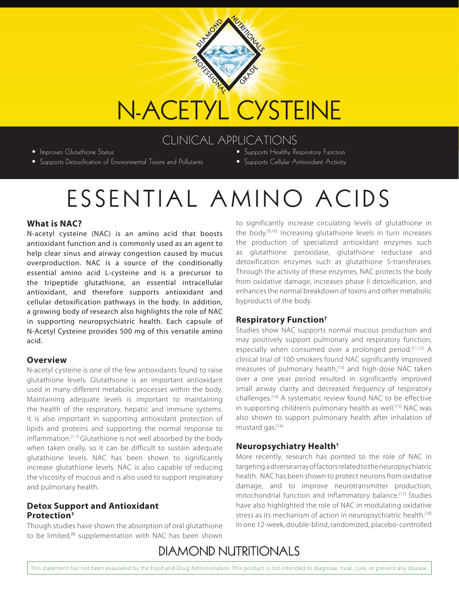# N-ACETYL CYSTEINE

PORTS SINONAL

ON AMERICANS

GRANDE

### CLINICAL APPLICATIONS

• Improves Glutathione Status

- Supports Detoxification of Environmental Toxins and Pollutants
- Supports Healthy Respiratory Function
- Supports Cellular Antioxidant Activity

## ESSENTIAL AMINO ACIDS

#### **What is NAC?**

N-acetyl cysteine (NAC) is an amino acid that boosts antioxidant function and is commonly used as an agent to help clear sinus and airway congestion caused by mucus overproduction. NAC is a source of the conditionally essential amino acid L-cysteine and is a precursor to the tripeptide glutathione, an essential intracellular antioxidant, and therefore supports antioxidant and cellular detoxification pathways in the body. In addition, a growing body of research also highlights the role of NAC in supporting neuropsychiatric health. Each capsule of N-Acetyl Cysteine provides 500 mg of this versatile amino acid.

#### **Overview**

N-acetyl cysteine is one of the few antioxidants found to raise glutathione levels. Glutathione is an important antioxidant used in many different metabolic processes within the body. Maintaining adequate levels is important to maintaining the health of the respiratory, hepatic and immune systems. It is also important in supporting antioxidant protection of lipids and proteins and supporting the normal response to inflammation.[1-7] Glutathione is not well absorbed by the body when taken orally, so it can be difficult to sustain adequate glutathione levels. NAC has been shown to significantly increase glutathione levels. NAC is also capable of reducing the viscosity of mucous and is also used to support respiratory and pulmonary health.

#### **Detox Support and Antioxidant Protection†**

Though studies have shown the absorption of oral glutathione to be limited,<sup>[8]</sup> supplementation with NAC has been shown

to significantly increase circulating levels of glutathione in the body.[9,10] Increasing glutathione levels in turn increases the production of specialized antioxidant enzymes such as glutathione peroxidase, glutathione reductase and detoxification enzymes such as glutathione S-transferases. Through the activity of these enzymes, NAC protects the body from oxidative damage, increases phase II detoxification, and enhances the normal breakdown of toxins and other metabolic byproducts of the body.

#### **Respiratory Function†**

Studies show NAC supports normal mucous production and may positively support pulmonary and respiratory function, especially when consumed over a prolonged period.<sup>[11,12]</sup> A clinical trial of 100 smokers found NAC significantly improved measures of pulmonary health,<sup>[13]</sup> and high-dose NAC taken over a one year period resulted in significantly improved small airway clarity and decreased frequency of respiratory challenges.[14] A systematic review found NAC to be effective in supporting children's pulmonary health as well.<sup>[15]</sup> NAC was also shown to support pulmonary health after inhalation of mustard gas.[16]

#### **Neuropsychiatry Health†**

More recently, research has pointed to the role of NAC in targeting a diverse array of factors related to the neuropsychiatric health. NAC has been shown to protect neurons from oxidative damage, and to improve neurotransmitter production, mitochondrial function and inflammatory balance.[17] Studies have also highlighted the role of NAC in modulating oxidative stress as its mechanism of action in neuropsychiatric health.<sup>[18]</sup> In one 12-week, double-blind, randomized, placebo-controlled

## **DIAMOND NUTRITIONALS**